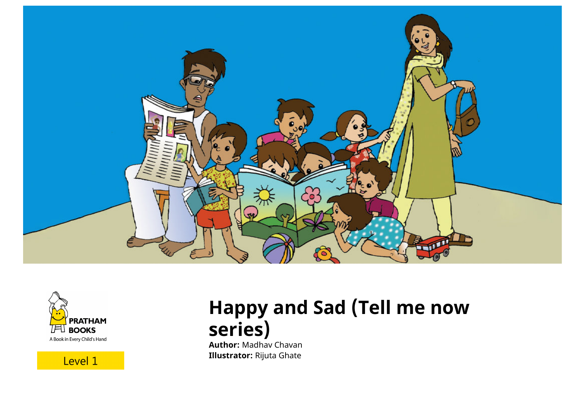





# **Happy and Sad (Tell me now series)**

**Author:** Madhav Chavan **Illustrator:** Rijuta Ghate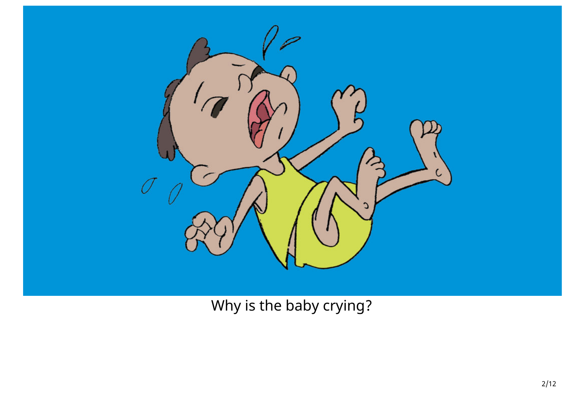

Why is the baby crying?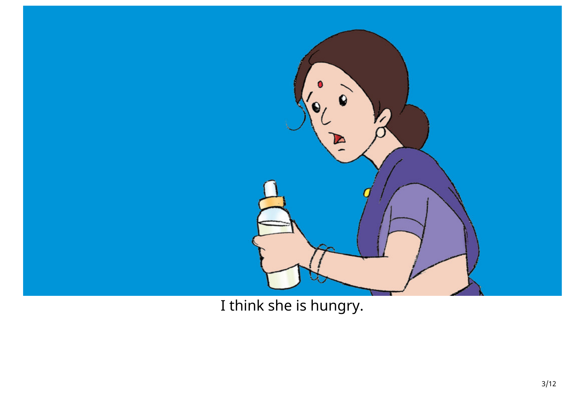

I think she is hungry.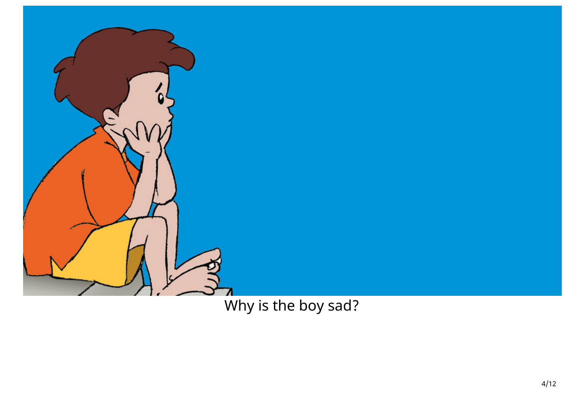

Why is the boy sad?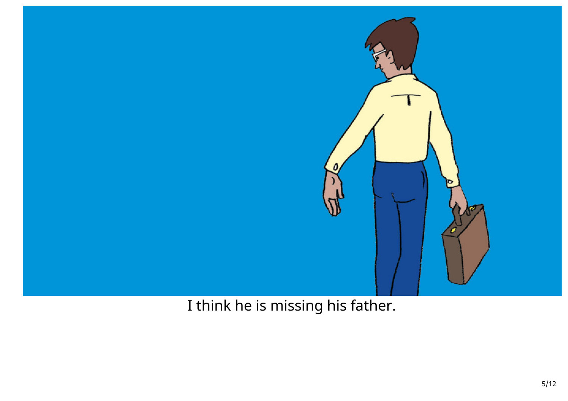

I think he is missing his father.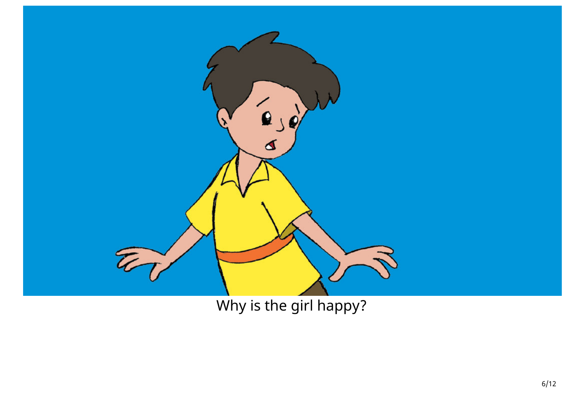

Why is the girl happy?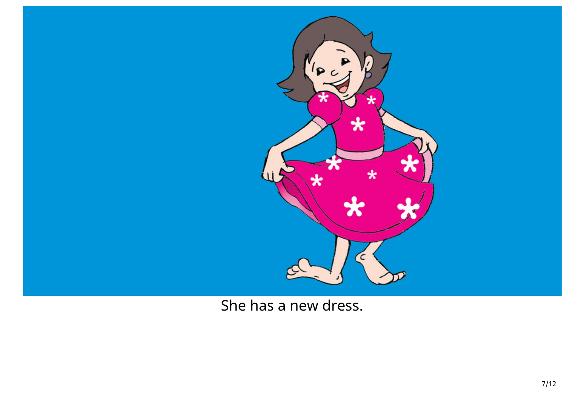

She has a new dress.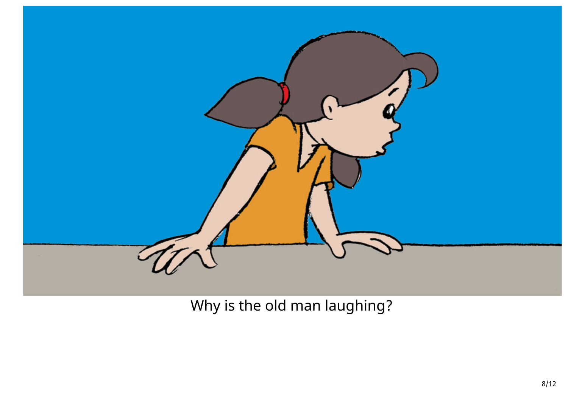

Why is the old man laughing?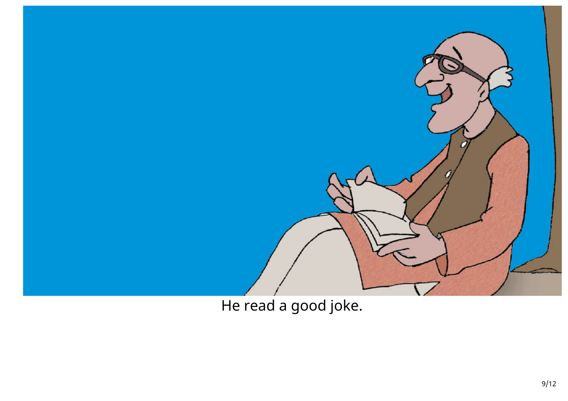

He read a good joke.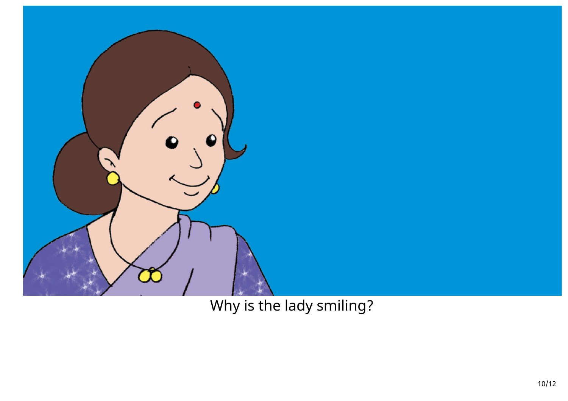

Why is the lady smiling?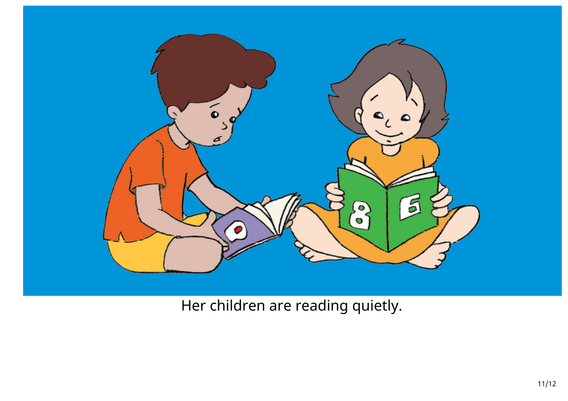

Her children are reading quietly.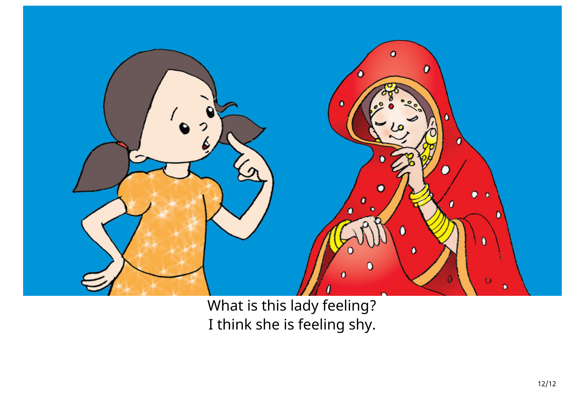

What is this lady feeling? I think she is feeling shy.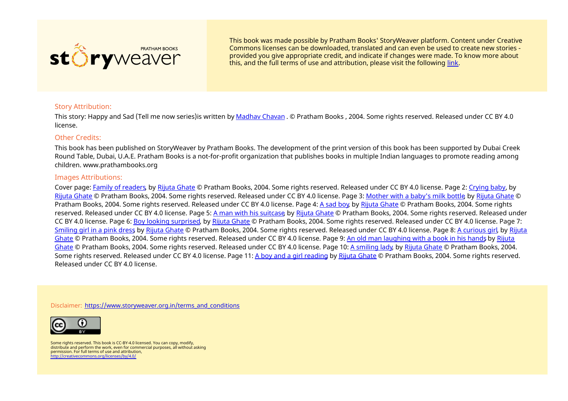

This book was made possible by Pratham Books' StoryWeaver platform. Content under Creative Commons licenses can be downloaded, translated and can even be used to create new stories ‐ provided you give appropriate credit, and indicate if changes were made. To know more about this, and the full terms of use and attribution, please visit the following [link](https://storyweaver.org.in/terms_and_conditions).

### Story Attribution:

This story: Happy and Sad (Tell me now series)is written by [Madhav](https://storyweaver.org.in/users/108-madhav-chavan) Chavan . © Pratham Books , 2004. Some rights reserved. Released under CC BY 4.0 license.

#### Other Credits:

This book has been published on StoryWeaver by Pratham Books. The development of the print version of this book has been supported by Dubai Creek Round Table, Dubai, U.A.E. Pratham Books is a not-for-profit organization that publishes books in multiple Indian languages to promote reading among children. www.prathambooks.org

#### Images Attributions:

Cover page: Family of [readers](https://storyweaver.org.in/illustrations/1020-family-of-readers), by Rijuta [Ghate](https://storyweaver.org.in/users/22-rijuta-ghate) © Pratham Books, 2004. Some rights reserved. Released under CC BY 4.0 license. Page 2: [Crying](https://storyweaver.org.in/illustrations/1021-crying-baby) baby, by Rijuta [Ghate](https://storyweaver.org.in/users/22-rijuta-ghate) © Pratham Books, 2004. Some rights reserved. Released under CC BY 4.0 license. Page 3: [Mother](https://storyweaver.org.in/illustrations/1022-mother-with-a-baby-s-milk-bottle) with a baby's milk bottle, by Rijuta [Ghate](https://storyweaver.org.in/users/22-rijuta-ghate) © Pratham Books, 2004. Some rights reserved. Released under CC BY 4.0 license. Page 4: A [sad](https://storyweaver.org.in/illustrations/1023-a-sad-boy) boy, by Rijuta [Ghate](https://storyweaver.org.in/users/22-rijuta-ghate) © Pratham Books, 2004. Some rights reserved. Released under CC BY 4.0 license. Page 5: A man with his [suitcase](https://storyweaver.org.in/illustrations/1024-a-man-with-his-suitcase) by Rijuta [Ghate](https://storyweaver.org.in/users/22-rijuta-ghate) © Pratham Books, 2004. Some rights reserved. Released under CC BY 4.0 license. Page 6: Boy looking [surprised](https://storyweaver.org.in/illustrations/1025-boy-looking-surprised), by Rijuta [Ghate](https://storyweaver.org.in/users/22-rijuta-ghate) © Pratham Books, 2004. Some rights reserved. Released under CC BY 4.0 license. Page 7: [Smiling](https://storyweaver.org.in/illustrations/1026-smiling-girl-in-a-pink-dress) girl in a pink dress by Rijuta [Ghate](https://storyweaver.org.in/users/22-rijuta-ghate) © Pratham Books, 2004. Some rights [reserved.](https://storyweaver.org.in/users/22-rijuta-ghate) Released under CC BY 4.0 license. Page 8: A [curious](https://storyweaver.org.in/illustrations/1027-a-curious-girl) girl, by Rijuta Ghate © Pratham Books, 2004. Some rights [reserved.](https://storyweaver.org.in/users/22-rijuta-ghate) Released under CC BY 4.0 license. Page 9: An old man [laughing](https://storyweaver.org.in/illustrations/1028-an-old-man-laughing-with-a-book-in-his-hands) with a book in his hands by Rijuta Ghate © Pratham Books, 2004. Some rights reserved. Released under CC BY 4.0 license. Page 10: A [smiling](https://storyweaver.org.in/illustrations/1029-a-smiling-lady) lady, by Rijuta [Ghate](https://storyweaver.org.in/users/22-rijuta-ghate) © Pratham Books, 2004. Some rights reserved. Released under CC BY 4.0 license. Page 11: A boy and a girl [reading](https://storyweaver.org.in/illustrations/1030-a-boy-and-a-girl-reading) by Rijuta [Ghate](https://storyweaver.org.in/users/22-rijuta-ghate) © Pratham Books, 2004. Some rights reserved. Released under CC BY 4.0 license.

Disclaimer: [https://www.storyweaver.org.in/terms\\_and\\_conditions](https://storyweaver.org.in/terms_and_conditions)



Some rights reserved. This book is CC-BY-4.0 licensed. You can copy, modify, distribute and perform the work, even for commercial purposes, all without asking permission. For full terms of use and attribution, <http://creativecommons.org/licenses/by/4.0/>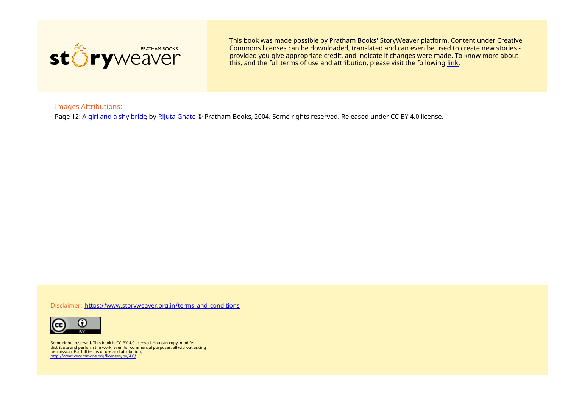

This book was made possible by Pratham Books' StoryWeaver platform. Content under Creative Commons licenses can be downloaded, translated and can even be used to create new stories ‐ provided you give appropriate credit, and indicate if changes were made. To know more about this, and the full terms of use and attribution, please visit the following [link](https://storyweaver.org.in/terms_and_conditions).

Images Attributions:

Page 12: A girl and a shy [bride](https://storyweaver.org.in/illustrations/1031-a-girl-and-a-shy-bride) by Rijuta [Ghate](https://storyweaver.org.in/users/22-rijuta-ghate) © Pratham Books, 2004. Some rights reserved. Released under CC BY 4.0 license.

Disclaimer: https://www.storyweaver.org.in/terms and conditions



Some rights reserved. This book is CC-BY-4.0 licensed. You can copy, modify, distribute and perform the work, even for commercial purposes, all without asking permission. For full terms of use and attribution, <http://creativecommons.org/licenses/by/4.0/>